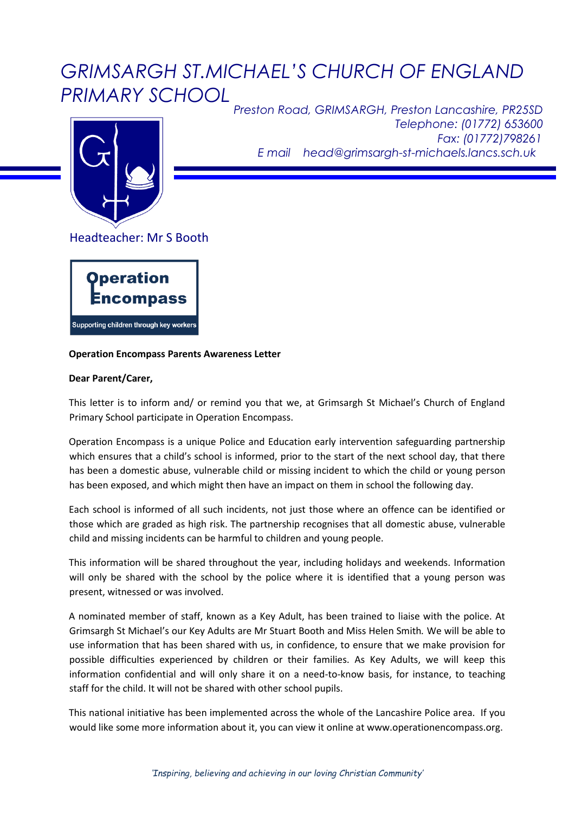## *GRIMSARGH ST.MICHAEL'S CHURCH OF ENGLAND PRIMARY SCHOOL*



*Preston Road, GRIMSARGH, Preston Lancashire, PR25SD Telephone: (01772) 653600 Fax: (01772)798261 E mail head@grimsargh-st-michaels.lancs.sch.uk*

Headteacher: Mr S Booth



## **Operation Encompass Parents Awareness Letter**

## **Dear Parent/Carer,**

This letter is to inform and/ or remind you that we, at Grimsargh St Michael's Church of England Primary School participate in Operation Encompass.

Operation Encompass is a unique Police and Education early intervention safeguarding partnership which ensures that a child's school is informed, prior to the start of the next school day, that there has been a domestic abuse, vulnerable child or missing incident to which the child or young person has been exposed, and which might then have an impact on them in school the following day.

Each school is informed of all such incidents, not just those where an offence can be identified or those which are graded as high risk. The partnership recognises that all domestic abuse, vulnerable child and missing incidents can be harmful to children and young people.

This information will be shared throughout the year, including holidays and weekends. Information will only be shared with the school by the police where it is identified that a young person was present, witnessed or was involved.

A nominated member of staff, known as a Key Adult, has been trained to liaise with the police. At Grimsargh St Michael's our Key Adults are Mr Stuart Booth and Miss Helen Smith*.* We will be able to use information that has been shared with us, in confidence, to ensure that we make provision for possible difficulties experienced by children or their families. As Key Adults, we will keep this information confidential and will only share it on a need-to-know basis, for instance, to teaching staff for the child. It will not be shared with other school pupils.

This national initiative has been implemented across the whole of the Lancashire Police area. If you would like some more information about it, you can view it online at www.operationencompass.org.